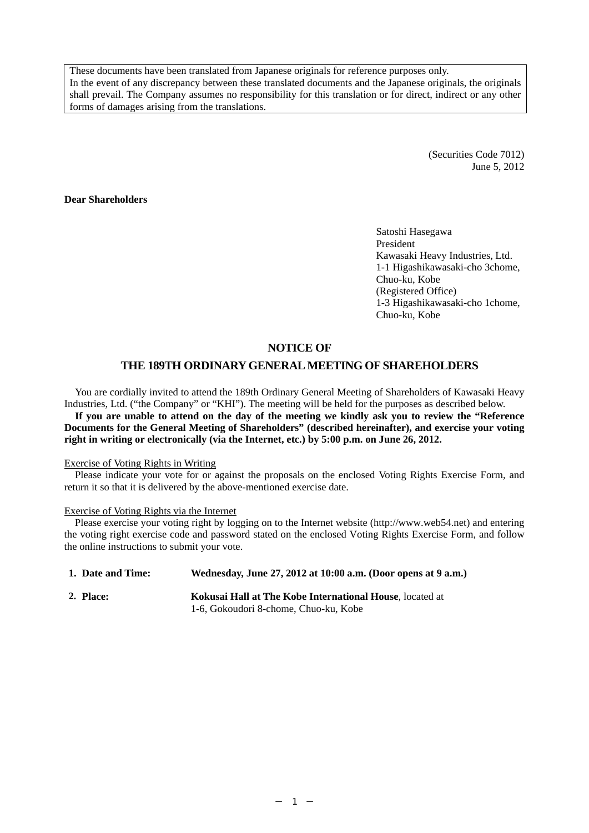These documents have been translated from Japanese originals for reference purposes only. In the event of any discrepancy between these translated documents and the Japanese originals, the originals shall prevail. The Company assumes no responsibility for this translation or for direct, indirect or any other forms of damages arising from the translations.

> (Securities Code 7012) June 5, 2012

#### **Dear Shareholders**

Satoshi Hasegawa President Kawasaki Heavy Industries, Ltd. 1-1 Higashikawasaki-cho 3chome, Chuo-ku, Kobe (Registered Office) 1-3 Higashikawasaki-cho 1chome, Chuo-ku, Kobe

#### **NOTICE OF**

#### **THE 189TH ORDINARY GENERAL MEETING OF SHAREHOLDERS**

You are cordially invited to attend the 189th Ordinary General Meeting of Shareholders of Kawasaki Heavy Industries, Ltd. ("the Company" or "KHI"). The meeting will be held for the purposes as described below. **If you are unable to attend on the day of the meeting we kindly ask you to review the "Reference Documents for the General Meeting of Shareholders" (described hereinafter), and exercise your voting right in writing or electronically (via the Internet, etc.) by 5:00 p.m. on June 26, 2012.** 

#### Exercise of Voting Rights in Writing

Please indicate your vote for or against the proposals on the enclosed Voting Rights Exercise Form, and return it so that it is delivered by the above-mentioned exercise date.

#### Exercise of Voting Rights via the Internet

Please exercise your voting right by logging on to the Internet website (http://www.web54.net) and entering the voting right exercise code and password stated on the enclosed Voting Rights Exercise Form, and follow the online instructions to submit your vote.

| 1. Date and Time: | Wednesday, June 27, 2012 at 10:00 a.m. (Door opens at 9 a.m.)                                                     |
|-------------------|-------------------------------------------------------------------------------------------------------------------|
| 2. Place:         | <b>Kokusai Hall at The Kobe International House, located at Aristory</b><br>1-6, Gokoudori 8-chome, Chuo-ku, Kobe |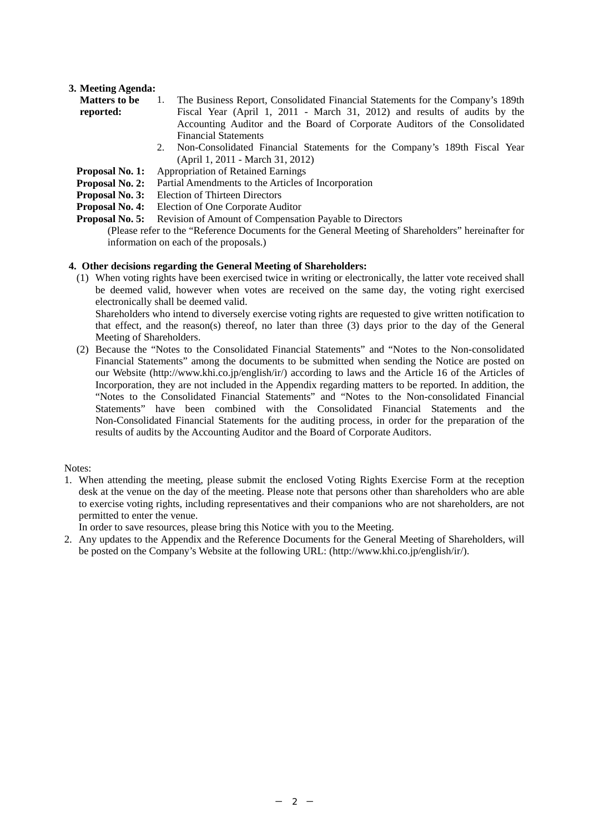## **3. Meeting Agenda:**

| <b>Matters to be</b> | The Business Report, Consolidated Financial Statements for the Company's 189th |
|----------------------|--------------------------------------------------------------------------------|
| reported:            | Fiscal Year (April 1, 2011 - March 31, 2012) and results of audits by the      |
|                      | Accounting Auditor and the Board of Corporate Auditors of the Consolidated     |
|                      | <b>Financial Statements</b>                                                    |
|                      | Non-Consolidated Financial Statements for the Company's 189th Fiscal Year      |

- 2. Non-Consolidated Financial Statements for the Company's 189th Fiscal Year (April 1, 2011 - March 31, 2012)
	- **Proposal No. 1:** Appropriation of Retained Earnings
	- **Proposal No. 2:** Partial Amendments to the Articles of Incorporation
- **Proposal No. 3:** Election of Thirteen Directors
- **Proposal No. 4:** Election of One Corporate Auditor
- **Proposal No. 5:** Revision of Amount of Compensation Payable to Directors (Please refer to the "Reference Documents for the General Meeting of Shareholders" hereinafter for information on each of the proposals.)

#### **4. Other decisions regarding the General Meeting of Shareholders:**

(1) When voting rights have been exercised twice in writing or electronically, the latter vote received shall be deemed valid, however when votes are received on the same day, the voting right exercised electronically shall be deemed valid.

 Shareholders who intend to diversely exercise voting rights are requested to give written notification to that effect, and the reason(s) thereof, no later than three (3) days prior to the day of the General Meeting of Shareholders.

(2) Because the "Notes to the Consolidated Financial Statements" and "Notes to the Non-consolidated Financial Statements" among the documents to be submitted when sending the Notice are posted on our Website (http://www.khi.co.jp/english/ir/) according to laws and the Article 16 of the Articles of Incorporation, they are not included in the Appendix regarding matters to be reported. In addition, the "Notes to the Consolidated Financial Statements" and "Notes to the Non-consolidated Financial Statements" have been combined with the Consolidated Financial Statements and the Non-Consolidated Financial Statements for the auditing process, in order for the preparation of the results of audits by the Accounting Auditor and the Board of Corporate Auditors.

Notes:

1. When attending the meeting, please submit the enclosed Voting Rights Exercise Form at the reception desk at the venue on the day of the meeting. Please note that persons other than shareholders who are able to exercise voting rights, including representatives and their companions who are not shareholders, are not permitted to enter the venue.

In order to save resources, please bring this Notice with you to the Meeting.

2. Any updates to the Appendix and the Reference Documents for the General Meeting of Shareholders, will be posted on the Company's Website at the following URL: (http://www.khi.co.jp/english/ir/).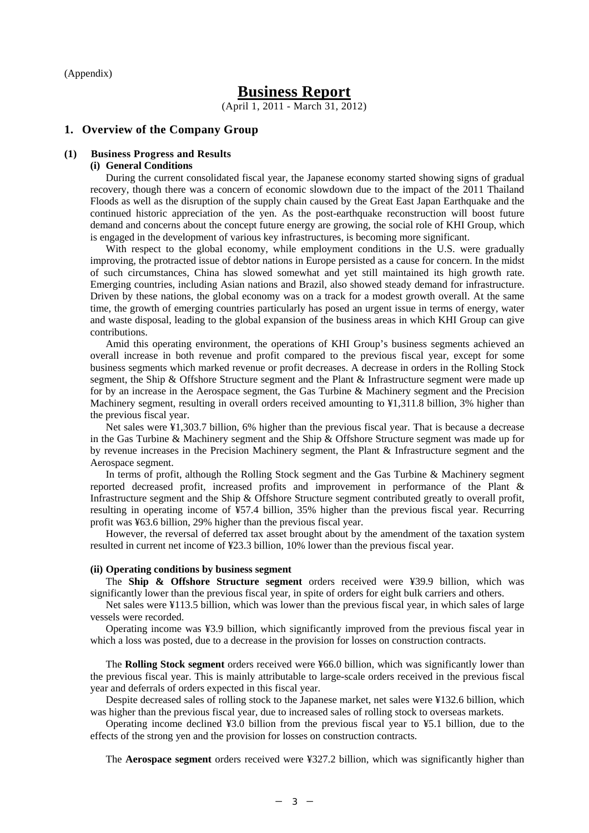(Appendix)

# **Business Report**

(April 1, 2011 - March 31, 2012)

#### **1. Overview of the Company Group**

#### **(1) Business Progress and Results**

#### **(i) General Conditions**

During the current consolidated fiscal year, the Japanese economy started showing signs of gradual recovery, though there was a concern of economic slowdown due to the impact of the 2011 Thailand Floods as well as the disruption of the supply chain caused by the Great East Japan Earthquake and the continued historic appreciation of the yen. As the post-earthquake reconstruction will boost future demand and concerns about the concept future energy are growing, the social role of KHI Group, which is engaged in the development of various key infrastructures, is becoming more significant.

With respect to the global economy, while employment conditions in the U.S. were gradually improving, the protracted issue of debtor nations in Europe persisted as a cause for concern. In the midst of such circumstances, China has slowed somewhat and yet still maintained its high growth rate. Emerging countries, including Asian nations and Brazil, also showed steady demand for infrastructure. Driven by these nations, the global economy was on a track for a modest growth overall. At the same time, the growth of emerging countries particularly has posed an urgent issue in terms of energy, water and waste disposal, leading to the global expansion of the business areas in which KHI Group can give contributions.

Amid this operating environment, the operations of KHI Group's business segments achieved an overall increase in both revenue and profit compared to the previous fiscal year, except for some business segments which marked revenue or profit decreases. A decrease in orders in the Rolling Stock segment, the Ship & Offshore Structure segment and the Plant & Infrastructure segment were made up for by an increase in the Aerospace segment, the Gas Turbine & Machinery segment and the Precision Machinery segment, resulting in overall orders received amounting to  $\frac{1}{311.8}$  billion, 3% higher than the previous fiscal year.

Net sales were ¥1,303.7 billion, 6% higher than the previous fiscal year. That is because a decrease in the Gas Turbine & Machinery segment and the Ship & Offshore Structure segment was made up for by revenue increases in the Precision Machinery segment, the Plant & Infrastructure segment and the Aerospace segment.

In terms of profit, although the Rolling Stock segment and the Gas Turbine & Machinery segment reported decreased profit, increased profits and improvement in performance of the Plant & Infrastructure segment and the Ship & Offshore Structure segment contributed greatly to overall profit, resulting in operating income of ¥57.4 billion, 35% higher than the previous fiscal year. Recurring profit was ¥63.6 billion, 29% higher than the previous fiscal year.

However, the reversal of deferred tax asset brought about by the amendment of the taxation system resulted in current net income of ¥23.3 billion, 10% lower than the previous fiscal year.

#### **(ii) Operating conditions by business segment**

The **Ship & Offshore Structure segment** orders received were ¥39.9 billion, which was significantly lower than the previous fiscal year, in spite of orders for eight bulk carriers and others.

Net sales were ¥113.5 billion, which was lower than the previous fiscal year, in which sales of large vessels were recorded.

Operating income was ¥3.9 billion, which significantly improved from the previous fiscal year in which a loss was posted, due to a decrease in the provision for losses on construction contracts.

The **Rolling Stock segment** orders received were ¥66.0 billion, which was significantly lower than the previous fiscal year. This is mainly attributable to large-scale orders received in the previous fiscal year and deferrals of orders expected in this fiscal year.

Despite decreased sales of rolling stock to the Japanese market, net sales were ¥132.6 billion, which was higher than the previous fiscal year, due to increased sales of rolling stock to overseas markets.

Operating income declined ¥3.0 billion from the previous fiscal year to ¥5.1 billion, due to the effects of the strong yen and the provision for losses on construction contracts.

The **Aerospace segment** orders received were ¥327.2 billion, which was significantly higher than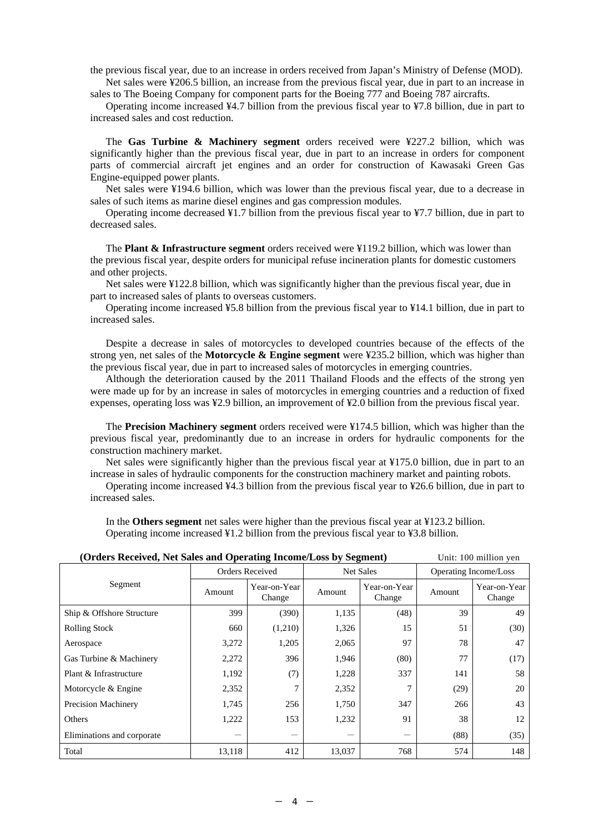the previous fiscal year, due to an increase in orders received from Japan's Ministry of Defense (MOD). Net sales were ¥206.5 billion, an increase from the previous fiscal year, due in part to an increase in

sales to The Boeing Company for component parts for the Boeing 777 and Boeing 787 aircrafts. Operating income increased ¥4.7 billion from the previous fiscal year to ¥7.8 billion, due in part to

increased sales and cost reduction.

The **Gas Turbine & Machinery segment** orders received were ¥227.2 billion, which was significantly higher than the previous fiscal year, due in part to an increase in orders for component parts of commercial aircraft jet engines and an order for construction of Kawasaki Green Gas Engine-equipped power plants.

Net sales were ¥194.6 billion, which was lower than the previous fiscal year, due to a decrease in sales of such items as marine diesel engines and gas compression modules.

Operating income decreased ¥1.7 billion from the previous fiscal year to ¥7.7 billion, due in part to decreased sales.

The **Plant & Infrastructure segment** orders received were ¥119.2 billion, which was lower than the previous fiscal year, despite orders for municipal refuse incineration plants for domestic customers and other projects.

Net sales were ¥122.8 billion, which was significantly higher than the previous fiscal year, due in part to increased sales of plants to overseas customers.

Operating income increased ¥5.8 billion from the previous fiscal year to ¥14.1 billion, due in part to increased sales.

Despite a decrease in sales of motorcycles to developed countries because of the effects of the strong yen, net sales of the **Motorcycle & Engine segment** were ¥235.2 billion, which was higher than the previous fiscal year, due in part to increased sales of motorcycles in emerging countries.

Although the deterioration caused by the 2011 Thailand Floods and the effects of the strong yen were made up for by an increase in sales of motorcycles in emerging countries and a reduction of fixed expenses, operating loss was ¥2.9 billion, an improvement of ¥2.0 billion from the previous fiscal year.

The **Precision Machinery segment** orders received were ¥174.5 billion, which was higher than the previous fiscal year, predominantly due to an increase in orders for hydraulic components for the construction machinery market.

Net sales were significantly higher than the previous fiscal year at ¥175.0 billion, due in part to an increase in sales of hydraulic components for the construction machinery market and painting robots.

Operating income increased ¥4.3 billion from the previous fiscal year to ¥26.6 billion, due in part to increased sales.

In the **Others segment** net sales were higher than the previous fiscal year at ¥123.2 billion. Operating income increased ¥1.2 billion from the previous fiscal year to ¥3.8 billion.

| (Orders Received, Net Sales and Operating Income/Loss by Segment)<br>Unit: 100 million yen |        |                        |                  |                        |                       |                        |
|--------------------------------------------------------------------------------------------|--------|------------------------|------------------|------------------------|-----------------------|------------------------|
|                                                                                            |        | Orders Received        | <b>Net Sales</b> |                        | Operating Income/Loss |                        |
| Segment                                                                                    | Amount | Year-on-Year<br>Change | Amount           | Year-on-Year<br>Change | Amount                | Year-on-Year<br>Change |
| Ship & Offshore Structure                                                                  | 399    | (390)                  | 1,135            | (48)                   | 39                    | 49                     |
| <b>Rolling Stock</b>                                                                       | 660    | (1,210)                | 1,326            | 15                     | 51                    | (30)                   |
| Aerospace                                                                                  | 3,272  | 1,205                  | 2,065            | 97                     | 78                    | 47                     |
| Gas Turbine & Machinery                                                                    | 2,272  | 396                    | 1,946            | (80)                   | 77                    | (17)                   |
| Plant & Infrastructure                                                                     | 1,192  | (7)                    | 1,228            | 337                    | 141                   | 58                     |
| Motorcycle & Engine                                                                        | 2,352  | 7                      | 2,352            |                        | (29)                  | 20                     |
| <b>Precision Machinery</b>                                                                 | 1,745  | 256                    | 1,750            | 347                    | 266                   | 43                     |
| Others                                                                                     | 1,222  | 153                    | 1,232            | 91                     | 38                    | 12                     |
| Eliminations and corporate                                                                 |        |                        |                  |                        | (88)                  | (35)                   |
| Total                                                                                      | 13,118 | 412                    | 13,037           | 768                    | 574                   | 148                    |

|  | )rders Received. Net Sales and Operating Income/Loss by Segment) |  |  |
|--|------------------------------------------------------------------|--|--|
|  |                                                                  |  |  |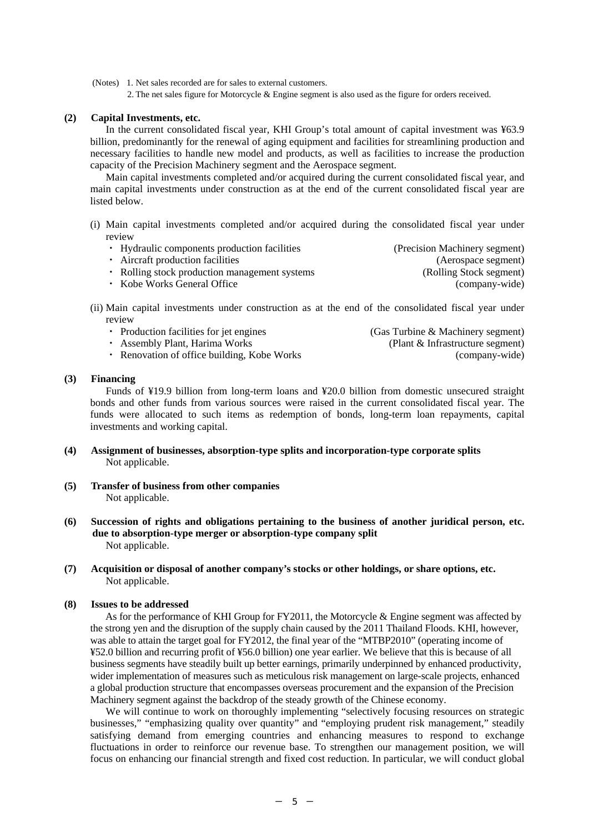(Notes) 1. Net sales recorded are for sales to external customers.

2. The net sales figure for Motorcycle & Engine segment is also used as the figure for orders received.

#### **(2) Capital Investments, etc.**

In the current consolidated fiscal year, KHI Group's total amount of capital investment was ¥63.9 billion, predominantly for the renewal of aging equipment and facilities for streamlining production and necessary facilities to handle new model and products, as well as facilities to increase the production capacity of the Precision Machinery segment and the Aerospace segment.

Main capital investments completed and/or acquired during the current consolidated fiscal year, and main capital investments under construction as at the end of the current consolidated fiscal year are listed below.

(i) Main capital investments completed and/or acquired during the consolidated fiscal year under review

| • Hydraulic components production facilities  | (Precision Machinery segment) |
|-----------------------------------------------|-------------------------------|
| • Aircraft production facilities              | (Aerospace segment)           |
| • Rolling stock production management systems | (Rolling Stock segment)       |
| • Kobe Works General Office                   | (company-wide)                |

(ii) Main capital investments under construction as at the end of the consolidated fiscal year under review

| • Production facilities for jet engines     | (Gas Turbine & Machinery segment) |
|---------------------------------------------|-----------------------------------|
| • Assembly Plant, Harima Works              | (Plant & Infrastructure segment)  |
| • Renovation of office building, Kobe Works | (company-wide)                    |

#### **(3) Financing**

Funds of ¥19.9 billion from long-term loans and ¥20.0 billion from domestic unsecured straight bonds and other funds from various sources were raised in the current consolidated fiscal year. The funds were allocated to such items as redemption of bonds, long-term loan repayments, capital investments and working capital.

- **(4) Assignment of businesses, absorption-type splits and incorporation-type corporate splits**  Not applicable.
- **(5) Transfer of business from other companies**  Not applicable.
- **(6) Succession of rights and obligations pertaining to the business of another juridical person, etc. due to absorption-type merger or absorption-type company split**  Not applicable.
- **(7) Acquisition or disposal of another company's stocks or other holdings, or share options, etc.**  Not applicable.

#### **(8) Issues to be addressed**

As for the performance of KHI Group for FY2011, the Motorcycle & Engine segment was affected by the strong yen and the disruption of the supply chain caused by the 2011 Thailand Floods. KHI, however, was able to attain the target goal for FY2012, the final year of the "MTBP2010" (operating income of ¥52.0 billion and recurring profit of ¥56.0 billion) one year earlier. We believe that this is because of all business segments have steadily built up better earnings, primarily underpinned by enhanced productivity, wider implementation of measures such as meticulous risk management on large-scale projects, enhanced a global production structure that encompasses overseas procurement and the expansion of the Precision Machinery segment against the backdrop of the steady growth of the Chinese economy.

We will continue to work on thoroughly implementing "selectively focusing resources on strategic businesses," "emphasizing quality over quantity" and "employing prudent risk management," steadily satisfying demand from emerging countries and enhancing measures to respond to exchange fluctuations in order to reinforce our revenue base. To strengthen our management position, we will focus on enhancing our financial strength and fixed cost reduction. In particular, we will conduct global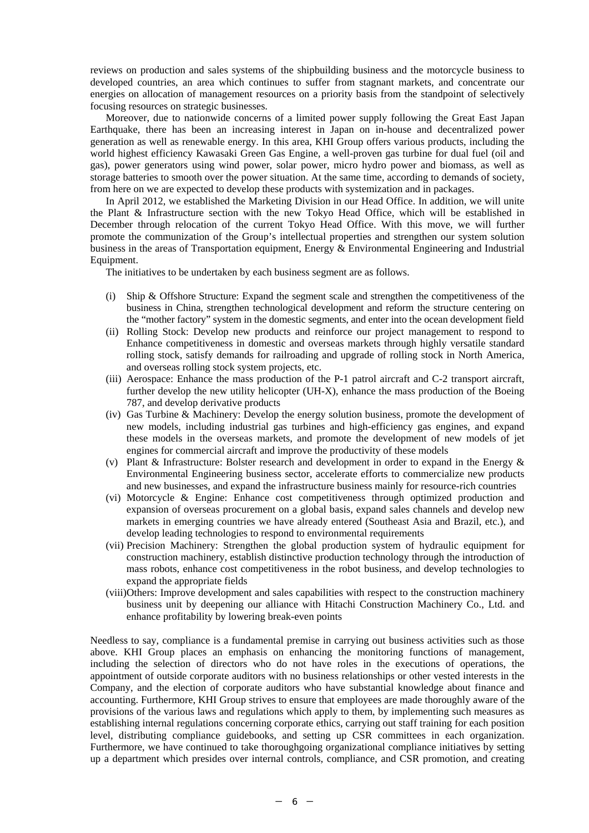reviews on production and sales systems of the shipbuilding business and the motorcycle business to developed countries, an area which continues to suffer from stagnant markets, and concentrate our energies on allocation of management resources on a priority basis from the standpoint of selectively focusing resources on strategic businesses.

Moreover, due to nationwide concerns of a limited power supply following the Great East Japan Earthquake, there has been an increasing interest in Japan on in-house and decentralized power generation as well as renewable energy. In this area, KHI Group offers various products, including the world highest efficiency Kawasaki Green Gas Engine, a well-proven gas turbine for dual fuel (oil and gas), power generators using wind power, solar power, micro hydro power and biomass, as well as storage batteries to smooth over the power situation. At the same time, according to demands of society, from here on we are expected to develop these products with systemization and in packages.

In April 2012, we established the Marketing Division in our Head Office. In addition, we will unite the Plant & Infrastructure section with the new Tokyo Head Office, which will be established in December through relocation of the current Tokyo Head Office. With this move, we will further promote the communization of the Group's intellectual properties and strengthen our system solution business in the areas of Transportation equipment, Energy & Environmental Engineering and Industrial Equipment.

The initiatives to be undertaken by each business segment are as follows.

- (i) Ship & Offshore Structure: Expand the segment scale and strengthen the competitiveness of the business in China, strengthen technological development and reform the structure centering on the "mother factory" system in the domestic segments, and enter into the ocean development field
- (ii) Rolling Stock: Develop new products and reinforce our project management to respond to Enhance competitiveness in domestic and overseas markets through highly versatile standard rolling stock, satisfy demands for railroading and upgrade of rolling stock in North America, and overseas rolling stock system projects, etc.
- (iii) Aerospace: Enhance the mass production of the P-1 patrol aircraft and C-2 transport aircraft, further develop the new utility helicopter (UH-X), enhance the mass production of the Boeing 787, and develop derivative products
- (iv) Gas Turbine & Machinery: Develop the energy solution business, promote the development of new models, including industrial gas turbines and high-efficiency gas engines, and expand these models in the overseas markets, and promote the development of new models of jet engines for commercial aircraft and improve the productivity of these models
- (v) Plant & Infrastructure: Bolster research and development in order to expand in the Energy  $\&$ Environmental Engineering business sector, accelerate efforts to commercialize new products and new businesses, and expand the infrastructure business mainly for resource-rich countries
- (vi) Motorcycle & Engine: Enhance cost competitiveness through optimized production and expansion of overseas procurement on a global basis, expand sales channels and develop new markets in emerging countries we have already entered (Southeast Asia and Brazil, etc.), and develop leading technologies to respond to environmental requirements
- (vii) Precision Machinery: Strengthen the global production system of hydraulic equipment for construction machinery, establish distinctive production technology through the introduction of mass robots, enhance cost competitiveness in the robot business, and develop technologies to expand the appropriate fields
- (viii)Others: Improve development and sales capabilities with respect to the construction machinery business unit by deepening our alliance with Hitachi Construction Machinery Co., Ltd. and enhance profitability by lowering break-even points

Needless to say, compliance is a fundamental premise in carrying out business activities such as those above. KHI Group places an emphasis on enhancing the monitoring functions of management, including the selection of directors who do not have roles in the executions of operations, the appointment of outside corporate auditors with no business relationships or other vested interests in the Company, and the election of corporate auditors who have substantial knowledge about finance and accounting. Furthermore, KHI Group strives to ensure that employees are made thoroughly aware of the provisions of the various laws and regulations which apply to them, by implementing such measures as establishing internal regulations concerning corporate ethics, carrying out staff training for each position level, distributing compliance guidebooks, and setting up CSR committees in each organization. Furthermore, we have continued to take thoroughgoing organizational compliance initiatives by setting up a department which presides over internal controls, compliance, and CSR promotion, and creating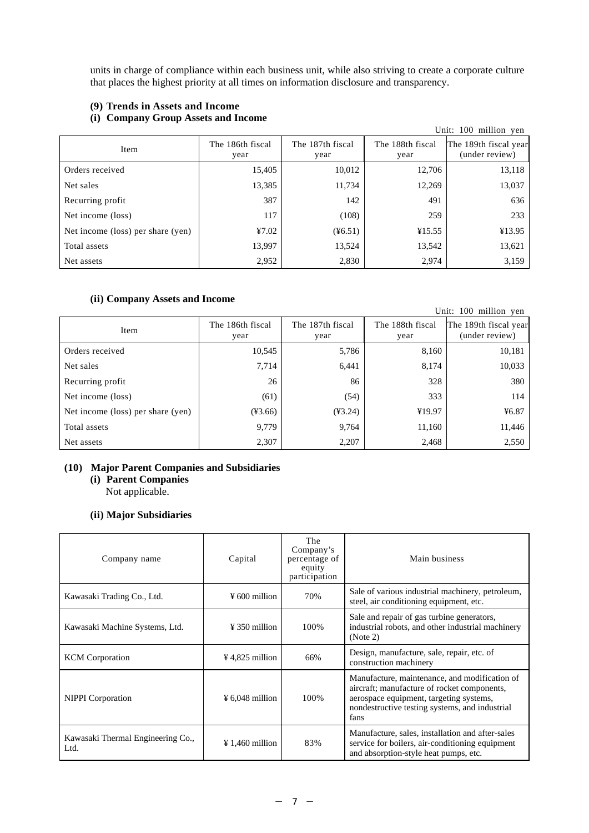units in charge of compliance within each business unit, while also striving to create a corporate culture that places the highest priority at all times on information disclosure and transparency.

## **(9) Trends in Assets and Income**

## **(i) Company Group Assets and Income**

| $(1)$ company or one rissets and meeme |                          |                          |                          | Unit: 100 million yen                   |
|----------------------------------------|--------------------------|--------------------------|--------------------------|-----------------------------------------|
| Item                                   | The 186th fiscal<br>year | The 187th fiscal<br>year | The 188th fiscal<br>year | The 189th fiscal year<br>(under review) |
| Orders received                        | 15,405                   | 10,012                   | 12.706                   | 13,118                                  |
| Net sales                              | 13,385                   | 11,734                   | 12,269                   | 13,037                                  |
| Recurring profit                       | 387                      | 142                      | 491                      | 636                                     |
| Net income (loss)                      | 117                      | (108)                    | 259                      | 233                                     |
| Net income (loss) per share (yen)      | 47.02                    | $(\text{\{46.51}})$      | ¥15.55                   | ¥13.95                                  |
| Total assets                           | 13,997                   | 13,524                   | 13,542                   | 13,621                                  |
| Net assets                             | 2,952                    | 2,830                    | 2,974                    | 3,159                                   |

## **(ii) Company Assets and Income**

|                                   |                          |                          |                          | Unit: 100 million yen                   |
|-----------------------------------|--------------------------|--------------------------|--------------------------|-----------------------------------------|
| Item                              | The 186th fiscal<br>year | The 187th fiscal<br>year | The 188th fiscal<br>year | The 189th fiscal year<br>(under review) |
| Orders received                   | 10,545                   | 5,786                    | 8,160                    | 10,181                                  |
| Net sales                         | 7,714                    | 6,441                    | 8,174                    | 10,033                                  |
| Recurring profit                  | 26                       | 86                       | 328                      | 380                                     |
| Net income (loss)                 | (61)                     | (54)                     | 333                      | 114                                     |
| Net income (loss) per share (yen) | $(*3.66)$                | $(*3.24)$                | ¥19.97                   | 46.87                                   |
| Total assets                      | 9,779                    | 9,764                    | 11,160                   | 11,446                                  |
| Net assets                        | 2,307                    | 2,207                    | 2,468                    | 2,550                                   |

### **(10) Major Parent Companies and Subsidiaries (i) Parent Companies**

Not applicable.

## **(ii) Major Subsidiaries**

| Company name                              | Capital                     | The<br>Company's<br>percentage of<br>equity<br>participation | Main business                                                                                                                                                                                     |
|-------------------------------------------|-----------------------------|--------------------------------------------------------------|---------------------------------------------------------------------------------------------------------------------------------------------------------------------------------------------------|
| Kawasaki Trading Co., Ltd.                | $\frac{1}{2}$ 600 million   | 70%                                                          | Sale of various industrial machinery, petroleum,<br>steel, air conditioning equipment, etc.                                                                                                       |
| Kawasaki Machine Systems, Ltd.            | $\frac{1}{2}$ 350 million   | 100%                                                         | Sale and repair of gas turbine generators,<br>industrial robots, and other industrial machinery<br>(Note 2)                                                                                       |
| <b>KCM</b> Corporation                    | $\frac{1}{2}$ 4,825 million | 66%                                                          | Design, manufacture, sale, repair, etc. of<br>construction machinery                                                                                                                              |
| <b>NIPPI</b> Corporation                  | $\frac{1}{2}$ 6,048 million | 100%                                                         | Manufacture, maintenance, and modification of<br>aircraft; manufacture of rocket components,<br>aerospace equipment, targeting systems,<br>nondestructive testing systems, and industrial<br>fans |
| Kawasaki Thermal Engineering Co.,<br>Ltd. | $\frac{1}{2}$ 1,460 million | 83%                                                          | Manufacture, sales, installation and after-sales<br>service for boilers, air-conditioning equipment<br>and absorption-style heat pumps, etc.                                                      |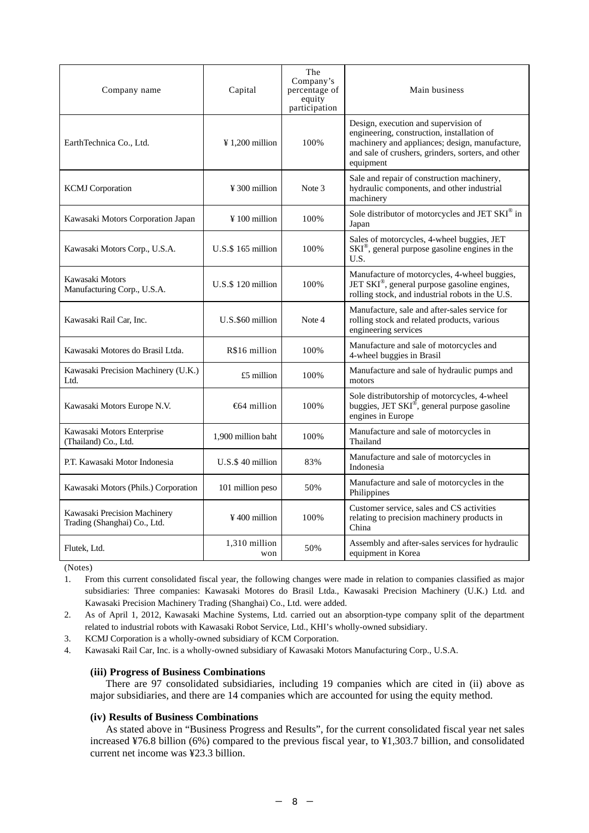| Company name                                                 | Capital                   | The<br>Company's<br>percentage of<br>equity<br>participation | Main business                                                                                                                                                                                           |
|--------------------------------------------------------------|---------------------------|--------------------------------------------------------------|---------------------------------------------------------------------------------------------------------------------------------------------------------------------------------------------------------|
| EarthTechnica Co., Ltd.                                      | $\frac{1}{200}$ million   | 100%                                                         | Design, execution and supervision of<br>engineering, construction, installation of<br>machinery and appliances; design, manufacture,<br>and sale of crushers, grinders, sorters, and other<br>equipment |
| <b>KCMJ</b> Corporation                                      | $\frac{1}{2}$ 300 million | Note 3                                                       | Sale and repair of construction machinery,<br>hydraulic components, and other industrial<br>machinery                                                                                                   |
| Kawasaki Motors Corporation Japan                            | $\frac{1}{2}$ 100 million | 100%                                                         | Sole distributor of motorcycles and JET SKI® in<br>Japan                                                                                                                                                |
| Kawasaki Motors Corp., U.S.A.                                | $U.S.S.$ 165 million      | 100%                                                         | Sales of motorcycles, 4-wheel buggies, JET<br>$SKI®$ , general purpose gasoline engines in the<br>U.S.                                                                                                  |
| Kawasaki Motors<br>Manufacturing Corp., U.S.A.               | U.S.\$120 million         | 100%                                                         | Manufacture of motorcycles, 4-wheel buggies,<br>JET SKI <sup>®</sup> , general purpose gasoline engines,<br>rolling stock, and industrial robots in the U.S.                                            |
| Kawasaki Rail Car, Inc.                                      | U.S.\$60 million          | Note 4                                                       | Manufacture, sale and after-sales service for<br>rolling stock and related products, various<br>engineering services                                                                                    |
| Kawasaki Motores do Brasil Ltda.                             | R\$16 million             | 100%                                                         | Manufacture and sale of motorcycles and<br>4-wheel buggies in Brasil                                                                                                                                    |
| Kawasaki Precision Machinery (U.K.)<br>Ltd.                  | £5 million                | 100%                                                         | Manufacture and sale of hydraulic pumps and<br>motors                                                                                                                                                   |
| Kawasaki Motors Europe N.V.                                  | $64$ million              | 100%                                                         | Sole distributorship of motorcycles, 4-wheel<br>buggies, JET SKI®, general purpose gasoline<br>engines in Europe                                                                                        |
| Kawasaki Motors Enterprise<br>(Thailand) Co., Ltd.           | 1,900 million baht        | 100%                                                         | Manufacture and sale of motorcycles in<br>Thailand                                                                                                                                                      |
| P.T. Kawasaki Motor Indonesia                                | U.S.\$40 million          | 83%                                                          | Manufacture and sale of motorcycles in<br>Indonesia                                                                                                                                                     |
| Kawasaki Motors (Phils.) Corporation                         | 101 million peso          | 50%                                                          | Manufacture and sale of motorcycles in the<br>Philippines                                                                                                                                               |
| Kawasaki Precision Machinery<br>Trading (Shanghai) Co., Ltd. | $\frac{1}{2}400$ million  | 100%                                                         | Customer service, sales and CS activities<br>relating to precision machinery products in<br>China                                                                                                       |
| Flutek, Ltd.                                                 | 1,310 million<br>won      | 50%                                                          | Assembly and after-sales services for hydraulic<br>equipment in Korea                                                                                                                                   |

(Notes)

1. From this current consolidated fiscal year, the following changes were made in relation to companies classified as major subsidiaries: Three companies: Kawasaki Motores do Brasil Ltda., Kawasaki Precision Machinery (U.K.) Ltd. and Kawasaki Precision Machinery Trading (Shanghai) Co., Ltd. were added.

2. As of April 1, 2012, Kawasaki Machine Systems, Ltd. carried out an absorption-type company split of the department related to industrial robots with Kawasaki Robot Service, Ltd., KHI's wholly-owned subsidiary.

3. KCMJ Corporation is a wholly-owned subsidiary of KCM Corporation.

4. Kawasaki Rail Car, Inc. is a wholly-owned subsidiary of Kawasaki Motors Manufacturing Corp., U.S.A.

#### **(iii) Progress of Business Combinations**

There are 97 consolidated subsidiaries, including 19 companies which are cited in (ii) above as major subsidiaries, and there are 14 companies which are accounted for using the equity method.

#### **(iv) Results of Business Combinations**

As stated above in "Business Progress and Results", for the current consolidated fiscal year net sales increased ¥76.8 billion (6%) compared to the previous fiscal year, to ¥1,303.7 billion, and consolidated current net income was ¥23.3 billion.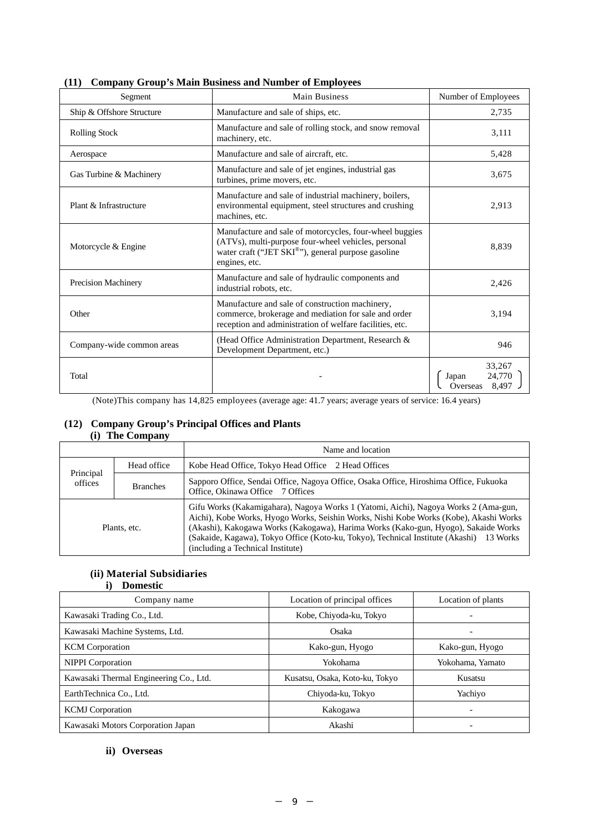| Segment                   | <b>Main Business</b>                                                                                                                                                                               | Number of Employees                            |
|---------------------------|----------------------------------------------------------------------------------------------------------------------------------------------------------------------------------------------------|------------------------------------------------|
| Ship & Offshore Structure | Manufacture and sale of ships, etc.                                                                                                                                                                | 2,735                                          |
| <b>Rolling Stock</b>      | Manufacture and sale of rolling stock, and snow removal<br>machinery, etc.                                                                                                                         | 3,111                                          |
| Aerospace                 | Manufacture and sale of aircraft, etc.                                                                                                                                                             | 5,428                                          |
| Gas Turbine & Machinery   | Manufacture and sale of jet engines, industrial gas<br>turbines, prime movers, etc.                                                                                                                | 3,675                                          |
| Plant & Infrastructure    | Manufacture and sale of industrial machinery, boilers,<br>environmental equipment, steel structures and crushing<br>machines, etc.                                                                 | 2,913                                          |
| Motorcycle & Engine       | Manufacture and sale of motorcycles, four-wheel buggies<br>(ATVs), multi-purpose four-wheel vehicles, personal<br>water craft ("JET SKI <sup>®</sup> "), general purpose gasoline<br>engines, etc. | 8,839                                          |
| Precision Machinery       | Manufacture and sale of hydraulic components and<br>industrial robots, etc.                                                                                                                        | 2,426                                          |
| Other                     | Manufacture and sale of construction machinery,<br>commerce, brokerage and mediation for sale and order<br>reception and administration of welfare facilities, etc.                                | 3,194                                          |
| Company-wide common areas | (Head Office Administration Department, Research &<br>Development Department, etc.)                                                                                                                | 946                                            |
| Total                     |                                                                                                                                                                                                    | 33,267<br>24,770<br>Japan<br>8,497<br>Overseas |

**(11) Company Group's Main Business and Number of Employees** 

(Note)This company has 14,825 employees (average age: 41.7 years; average years of service: 16.4 years)

## **(12) Company Group's Principal Offices and Plants (i) The Company**

|                      |                 | Name and location                                                                                                                                                                                                                                                                                                                                                                                  |  |  |  |
|----------------------|-----------------|----------------------------------------------------------------------------------------------------------------------------------------------------------------------------------------------------------------------------------------------------------------------------------------------------------------------------------------------------------------------------------------------------|--|--|--|
|                      | Head office     | Kobe Head Office, Tokyo Head Office 2 Head Offices                                                                                                                                                                                                                                                                                                                                                 |  |  |  |
| Principal<br>offices | <b>Branches</b> | Sapporo Office, Sendai Office, Nagoya Office, Osaka Office, Hiroshima Office, Fukuoka<br>Office, Okinawa Office 7 Offices                                                                                                                                                                                                                                                                          |  |  |  |
|                      | Plants, etc.    | Gifu Works (Kakamigahara), Nagoya Works 1 (Yatomi, Aichi), Nagoya Works 2 (Ama-gun,<br>Aichi), Kobe Works, Hyogo Works, Seishin Works, Nishi Kobe Works (Kobe), Akashi Works<br>(Akashi), Kakogawa Works (Kakogawa), Harima Works (Kako-gun, Hyogo), Sakaide Works<br>(Sakaide, Kagawa), Tokyo Office (Koto-ku, Tokyo), Technical Institute (Akashi) 13 Works<br>(including a Technical Institute) |  |  |  |

# **(ii) Material Subsidiaries**

## **i) Domestic**  Company name Location of principal offices Location of plants Kawasaki Trading Co., Ltd. **Kobe, Chiyoda-ku, Tokyo** -Kawasaki Machine Systems, Ltd. Casa - Casaka - Casaka - Casaka - Casaka - Casaka - Casaka - Casaka - Casaka - Casaka - Casaka - Casaka - Casaka - Casaka - Casaka - Casaka - Casaka - Casaka - Casaka - Casaka - Casaka - Casa KCM Corporation **Kako-gun, Hyogo** Kako-gun, Hyogo Kako-gun, Hyogo Kako-gun, Hyogo NIPPI Corporation Yokohama Yokohama Yokohama Yokohama, Yamato Kawasaki Thermal Engineering Co., Ltd. Kusatsu, Osaka, Koto-ku, Tokyo Kusatsu EarthTechnica Co., Ltd. Chiyoda-ku, Tokyo Yachiyo KCMJ Corporation **Kakogawa** - **Kakogawa** - **Kakogawa** - **Kakogawa** - **Kakogawa** - **Kakogawa** - **Kakogawa** - **Kakogawa** - **Kakogawa** - **Kakogawa** - **Kakogawa** - **Kakogawa** - **Kakogawa** - **Kakogawa** - **Kakogawa** - **Kakogawa** Kawasaki Motors Corporation Japan Akashi Akashi Akashi Akashi a kuma a kwa kus

## **ii) Overseas**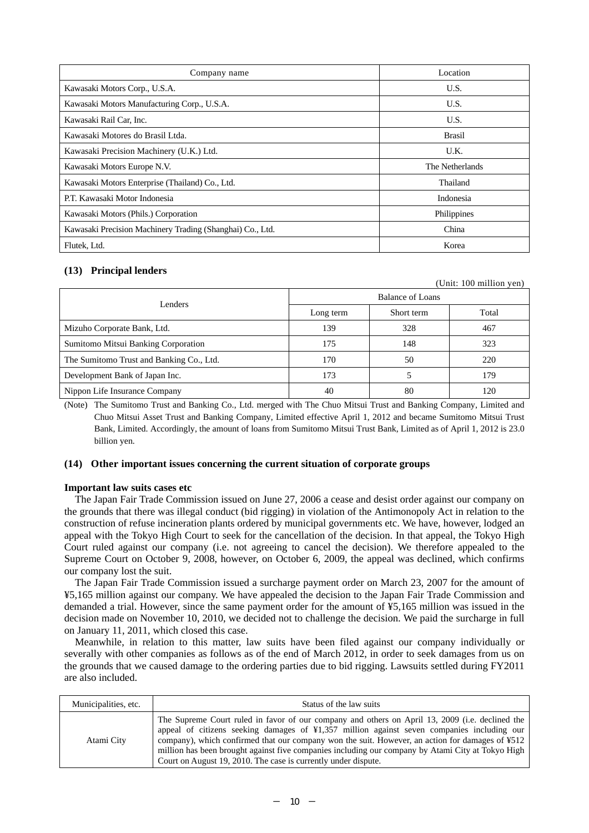| Location<br>Company name                                  |                 |  |
|-----------------------------------------------------------|-----------------|--|
| Kawasaki Motors Corp., U.S.A.                             | U.S.            |  |
| Kawasaki Motors Manufacturing Corp., U.S.A.               | U.S.            |  |
| Kawasaki Rail Car, Inc.                                   | U.S.            |  |
| Kawasaki Motores do Brasil Ltda.                          | <b>Brasil</b>   |  |
| Kawasaki Precision Machinery (U.K.) Ltd.                  | U.K.            |  |
| Kawasaki Motors Europe N.V.                               | The Netherlands |  |
| Kawasaki Motors Enterprise (Thailand) Co., Ltd.           | Thailand        |  |
| P.T. Kawasaki Motor Indonesia                             | Indonesia       |  |
| Kawasaki Motors (Phils.) Corporation                      | Philippines     |  |
| Kawasaki Precision Machinery Trading (Shanghai) Co., Ltd. | China           |  |
| Flutek, Ltd.                                              | Korea           |  |

## **(13) Principal lenders**

|                                          |                         |            | (Unit: 100 million yen) |
|------------------------------------------|-------------------------|------------|-------------------------|
| Lenders                                  | <b>Balance of Loans</b> |            |                         |
|                                          | Long term               | Short term | Total                   |
| Mizuho Corporate Bank, Ltd.              | 139                     | 328        | 467                     |
| Sumitomo Mitsui Banking Corporation      | 175                     | 148        | 323                     |
| The Sumitomo Trust and Banking Co., Ltd. | 170                     | 50         | 220                     |
| Development Bank of Japan Inc.           | 173                     |            | 179                     |
| Nippon Life Insurance Company            | 40                      | 80         | 120                     |

(Note) The Sumitomo Trust and Banking Co., Ltd. merged with The Chuo Mitsui Trust and Banking Company, Limited and Chuo Mitsui Asset Trust and Banking Company, Limited effective April 1, 2012 and became Sumitomo Mitsui Trust Bank, Limited. Accordingly, the amount of loans from Sumitomo Mitsui Trust Bank, Limited as of April 1, 2012 is 23.0 billion yen.

## **(14) Other important issues concerning the current situation of corporate groups**

## **Important law suits cases etc**

The Japan Fair Trade Commission issued on June 27, 2006 a cease and desist order against our company on the grounds that there was illegal conduct (bid rigging) in violation of the Antimonopoly Act in relation to the construction of refuse incineration plants ordered by municipal governments etc. We have, however, lodged an appeal with the Tokyo High Court to seek for the cancellation of the decision. In that appeal, the Tokyo High Court ruled against our company (i.e. not agreeing to cancel the decision). We therefore appealed to the Supreme Court on October 9, 2008, however, on October 6, 2009, the appeal was declined, which confirms our company lost the suit.

The Japan Fair Trade Commission issued a surcharge payment order on March 23, 2007 for the amount of ¥5,165 million against our company. We have appealed the decision to the Japan Fair Trade Commission and demanded a trial. However, since the same payment order for the amount of ¥5,165 million was issued in the decision made on November 10, 2010, we decided not to challenge the decision. We paid the surcharge in full on January 11, 2011, which closed this case.

Meanwhile, in relation to this matter, law suits have been filed against our company individually or severally with other companies as follows as of the end of March 2012, in order to seek damages from us on the grounds that we caused damage to the ordering parties due to bid rigging. Lawsuits settled during FY2011 are also included.

| Municipalities, etc. | Status of the law suits                                                                                                                                                                                                                                                                                                                                                                                                                                                                  |
|----------------------|------------------------------------------------------------------------------------------------------------------------------------------------------------------------------------------------------------------------------------------------------------------------------------------------------------------------------------------------------------------------------------------------------------------------------------------------------------------------------------------|
| Atami City           | The Supreme Court ruled in favor of our company and others on April 13, 2009 (i.e. declined the<br>appeal of citizens seeking damages of $\frac{1}{2}$ , appeal in against seven companies including our<br>company), which confirmed that our company won the suit. However, an action for damages of $\yen 512$<br>million has been brought against five companies including our company by Atami City at Tokyo High<br>Court on August 19, 2010. The case is currently under dispute. |